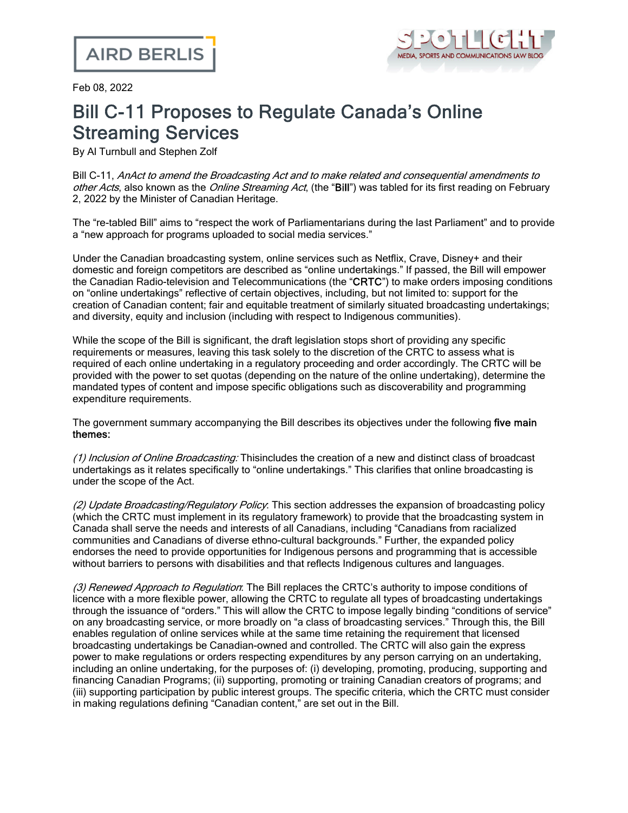

Feb 08, 2022

## Bill C-11 Proposes to Regulate Canada's Online Streaming Services

By Al Turnbull and Stephen Zolf

Bill C-11, AnAct to amend the Broadcasting Act and to make related and consequential amendments to other Acts, also known as the *Online Streaming Act*, (the "Bill") was tabled for its first [reading](https://www.parl.ca/DocumentViewer/en/44-1/bill/C-11/first-reading) on February 2, 2022 by the Minister of Canadian Heritage.

The "re-tabled Bill" aims to "respect the work of Parliamentarians during the last Parliament" and to provide a "new approach for programs uploaded to social media services."

Under the Canadian broadcasting system, online services such as Netflix, Crave, Disney+ and their domestic and foreign competitors are described as "online undertakings." If passed, the Bill will empower the Canadian Radio-television and Telecommunications (the "CRTC") to make orders imposing conditions on "online undertakings" reflective of certain objectives, including, but not limited to: support for the creation of Canadian content; fair and equitable treatment of similarly situated broadcasting undertakings; and diversity, equity and inclusion (including with respect to Indigenous communities).

While the scope of the Bill is significant, the draft legislation stops short of providing any specific requirements or measures, leaving this task solely to the discretion of the CRTC to assess what is required of each online undertaking in a regulatory proceeding and order accordingly. The CRTC will be provided with the power to set quotas (depending on the nature of the online undertaking), determine the mandated types of content and impose specific obligations such as discoverability and programming expenditure requirements.

The government summary accompanying the Bill describes its objectives under the following five main themes:

(1) Inclusion of Online Broadcasting: Thisincludes the creation of a new and distinct class of broadcast undertakings as it relates specifically to "online undertakings." This clarifies that online broadcasting is under the scope of the Act.

(2) Update Broadcasting/Regulatory Policy. This section addresses the expansion of broadcasting policy (which the CRTC must implement in its regulatory framework) to provide that the broadcasting system in Canada shall serve the needs and interests of all Canadians, including "Canadians from racialized communities and Canadians of diverse ethno-cultural backgrounds." Further, the expanded policy endorses the need to provide opportunities for Indigenous persons and programming that is accessible without barriers to persons with disabilities and that reflects Indigenous cultures and languages.

(3) Renewed Approach to Regulation: The Bill replaces the CRTC's authority to impose conditions of licence with a more flexible power, allowing the CRTC to regulate all types of broadcasting undertakings through the issuance of "orders." This will allow the CRTC to impose legally binding "conditions of service" on any broadcasting service, or more broadly on "a class of broadcasting services." Through this, the Bill enables regulation of online services while at the same time retaining the requirement that licensed broadcasting undertakings be Canadian-owned and controlled. The CRTC will also gain the express power to make regulations or orders respecting expenditures by any person carrying on an undertaking, including an online undertaking, for the purposes of: (i) developing, promoting, producing, supporting and financing Canadian Programs; (ii) supporting, promoting or training Canadian creators of programs; and (iii) supporting participation by public interest groups. The specific criteria, which the CRTC must consider in making regulations defining "Canadian content," are set out in the Bill.